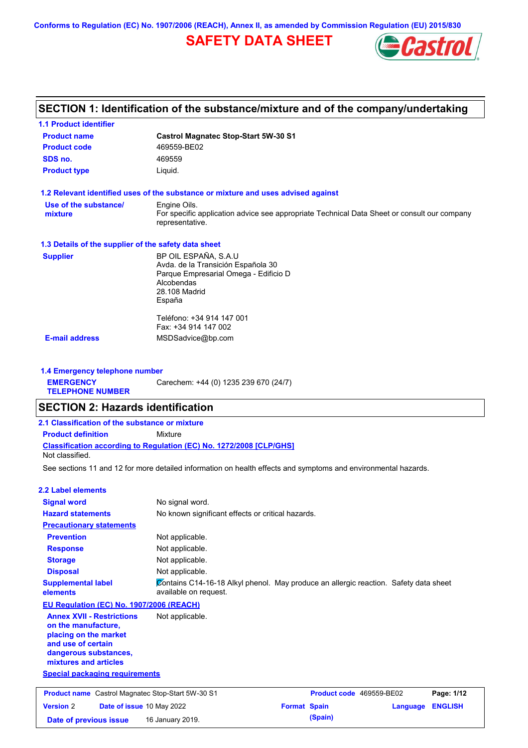**Conforms to Regulation (EC) No. 1907/2006 (REACH), Annex II, as amended by Commission Regulation (EU) 2015/830**

# **SAFETY DATA SHEET**



## **SECTION 1: Identification of the substance/mixture and of the company/undertaking**

| <b>1.1 Product identifier</b>                        |                                                                                                                |
|------------------------------------------------------|----------------------------------------------------------------------------------------------------------------|
| <b>Product name</b>                                  | <b>Castrol Magnatec Stop-Start 5W-30 S1</b>                                                                    |
| <b>Product code</b>                                  | 469559-BE02                                                                                                    |
| SDS no.                                              | 469559                                                                                                         |
| <b>Product type</b>                                  | Liquid.                                                                                                        |
|                                                      | 1.2 Relevant identified uses of the substance or mixture and uses advised against                              |
| Use of the substance/                                | Engine Oils.                                                                                                   |
| mixture                                              | For specific application advice see appropriate Technical Data Sheet or consult our company<br>representative. |
| 1.3 Details of the supplier of the safety data sheet |                                                                                                                |
| <b>Supplier</b>                                      | BP OIL ESPAÑA, S.A.U                                                                                           |
|                                                      | Avda. de la Transición Española 30                                                                             |
|                                                      | Parque Empresarial Omega - Edificio D                                                                          |
|                                                      | Alcobendas<br>28.108 Madrid                                                                                    |
|                                                      | España                                                                                                         |
|                                                      | Teléfono: +34 914 147 001                                                                                      |
|                                                      | Fax: +34 914 147 002                                                                                           |
| <b>E-mail address</b>                                | MSDSadvice@bp.com                                                                                              |

**1.4 Emergency telephone number EMERGENCY TELEPHONE NUMBER** Carechem: +44 (0) 1235 239 670 (24/7)

## **SECTION 2: Hazards identification**

| 2.1 Classification of the substance or mixture |                                                                            |  |  |
|------------------------------------------------|----------------------------------------------------------------------------|--|--|
| <b>Product definition</b>                      | Mixture                                                                    |  |  |
| Not classified.                                | <b>Classification according to Regulation (EC) No. 1272/2008 ICLP/GHS1</b> |  |  |

See sections 11 and 12 for more detailed information on health effects and symptoms and environmental hazards.

## **2.2 Label elements**

| <b>Signal word</b><br><b>Hazard statements</b>                                                                                                           | No signal word.<br>No known significant effects or critical hazards.                                          |
|----------------------------------------------------------------------------------------------------------------------------------------------------------|---------------------------------------------------------------------------------------------------------------|
| <b>Precautionary statements</b>                                                                                                                          |                                                                                                               |
| <b>Prevention</b>                                                                                                                                        | Not applicable.                                                                                               |
| <b>Response</b>                                                                                                                                          | Not applicable.                                                                                               |
| <b>Storage</b>                                                                                                                                           | Not applicable.                                                                                               |
| <b>Disposal</b>                                                                                                                                          | Not applicable.                                                                                               |
| <b>Supplemental label</b><br>elements                                                                                                                    | Contains C14-16-18 Alkyl phenol. May produce an allergic reaction. Safety data sheet<br>available on request. |
| EU Regulation (EC) No. 1907/2006 (REACH)                                                                                                                 |                                                                                                               |
| <b>Annex XVII - Restrictions</b><br>on the manufacture,<br>placing on the market<br>and use of certain<br>dangerous substances,<br>mixtures and articles | Not applicable.                                                                                               |
| <b>Special packaging requirements</b>                                                                                                                    |                                                                                                               |
| <b>Product name</b> Castrol Magnatec Stop-Start 5W-30 S1                                                                                                 | Product code 469559-BE02<br>Page: 1/12                                                                        |

**Version** 2 **Date of issue** 10 May 2022 **Format Spain Language ENGLISH Date of previous issue 16 January 2019. (Spain) (Spain)**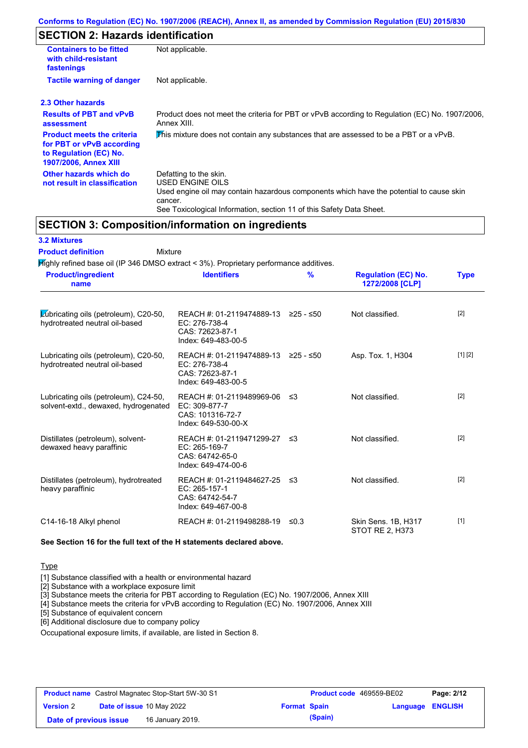# **SECTION 2: Hazards identification**

| <b>Containers to be fitted</b><br>with child-resistant<br>fastenings                                                     | Not applicable.                                                                                                                                                                                                          |
|--------------------------------------------------------------------------------------------------------------------------|--------------------------------------------------------------------------------------------------------------------------------------------------------------------------------------------------------------------------|
| <b>Tactile warning of danger</b>                                                                                         | Not applicable.                                                                                                                                                                                                          |
| 2.3 Other hazards                                                                                                        |                                                                                                                                                                                                                          |
| <b>Results of PBT and vPvB</b><br>assessment                                                                             | Product does not meet the criteria for PBT or vPvB according to Regulation (EC) No. 1907/2006,<br>Annex XIII.                                                                                                            |
| <b>Product meets the criteria</b><br>for PBT or vPvB according<br>to Regulation (EC) No.<br><b>1907/2006, Annex XIII</b> | This mixture does not contain any substances that are assessed to be a PBT or a vPvB.                                                                                                                                    |
| Other hazards which do<br>not result in classification                                                                   | Defatting to the skin.<br>USED ENGINE OILS<br>Used engine oil may contain hazardous components which have the potential to cause skin<br>cancer.<br>See Toxicological Information, section 11 of this Safety Data Sheet. |

## **SECTION 3: Composition/information on ingredients**

| <b>3.2 Mixtures</b>                                                                       |                                                                                                |      |                                               |             |
|-------------------------------------------------------------------------------------------|------------------------------------------------------------------------------------------------|------|-----------------------------------------------|-------------|
| <b>Product definition</b><br>Mixture                                                      |                                                                                                |      |                                               |             |
| $H$ ighly refined base oil (IP 346 DMSO extract < 3%). Proprietary performance additives. |                                                                                                |      |                                               |             |
| <b>Product/ingredient</b><br>name                                                         | <b>Identifiers</b>                                                                             | %    | <b>Regulation (EC) No.</b><br>1272/2008 [CLP] | <b>Type</b> |
| Lubricating oils (petroleum), C20-50,<br>hydrotreated neutral oil-based                   | REACH #: 01-2119474889-13 ≥25 - ≤50<br>EC: 276-738-4<br>CAS: 72623-87-1<br>Index: 649-483-00-5 |      | Not classified.                               | [2]         |
| Lubricating oils (petroleum), C20-50,<br>hydrotreated neutral oil-based                   | REACH #: 01-2119474889-13 ≥25 - ≤50<br>EC: 276-738-4<br>CAS: 72623-87-1<br>Index: 649-483-00-5 |      | Asp. Tox. 1, H304                             | [1] [2]     |
| Lubricating oils (petroleum), C24-50,<br>solvent-extd., dewaxed, hydrogenated             | REACH #: 01-2119489969-06<br>EC: 309-877-7<br>CAS: 101316-72-7<br>Index: 649-530-00-X          | ≤3   | Not classified.                               | [2]         |
| Distillates (petroleum), solvent-<br>dewaxed heavy paraffinic                             | REACH #: 01-2119471299-27 ≤3<br>EC: 265-169-7<br>CAS: 64742-65-0<br>Index: 649-474-00-6        |      | Not classified.                               | $[2]$       |
| Distillates (petroleum), hydrotreated<br>heavy paraffinic                                 | REACH #: 01-2119484627-25 ≤3<br>EC: 265-157-1<br>CAS: 64742-54-7<br>Index: 649-467-00-8        |      | Not classified.                               | [2]         |
| C14-16-18 Alkyl phenol                                                                    | REACH #: 01-2119498288-19                                                                      | ≤0.3 | Skin Sens. 1B, H317<br><b>STOT RE 2, H373</b> | $[1]$       |

**See Section 16 for the full text of the H statements declared above.**

#### **Type**

[1] Substance classified with a health or environmental hazard

[2] Substance with a workplace exposure limit

[3] Substance meets the criteria for PBT according to Regulation (EC) No. 1907/2006, Annex XIII

[4] Substance meets the criteria for vPvB according to Regulation (EC) No. 1907/2006, Annex XIII

[5] Substance of equivalent concern

[6] Additional disclosure due to company policy

Occupational exposure limits, if available, are listed in Section 8.

| <b>Product name</b> Castrol Magnatec Stop-Start 5W-30 S1 |  |                                  | <b>Product code</b> 469559-BE02 |         | Page: 2/12              |  |
|----------------------------------------------------------|--|----------------------------------|---------------------------------|---------|-------------------------|--|
| <b>Version 2</b>                                         |  | <b>Date of issue 10 May 2022</b> | <b>Format Spain</b>             |         | <b>Language ENGLISH</b> |  |
| Date of previous issue                                   |  | 16 January 2019.                 |                                 | (Spain) |                         |  |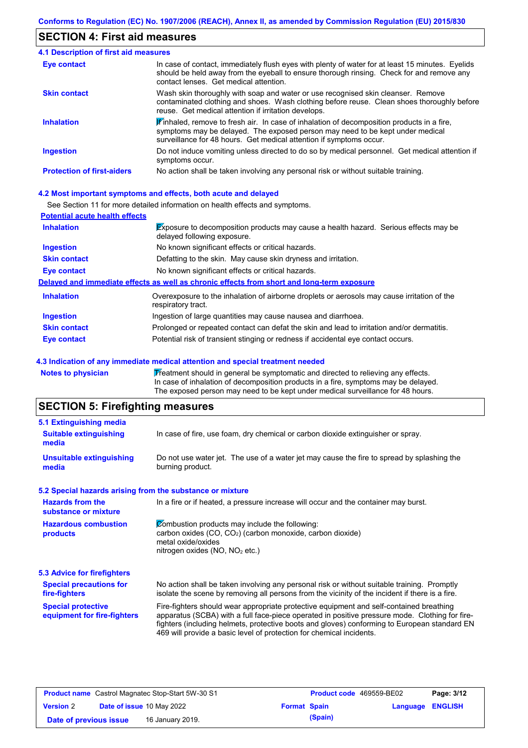## **SECTION 4: First aid measures**

| 4.1 Description of first aid measures |                                                                                                                                                                                                                                                               |
|---------------------------------------|---------------------------------------------------------------------------------------------------------------------------------------------------------------------------------------------------------------------------------------------------------------|
| Eye contact                           | In case of contact, immediately flush eyes with plenty of water for at least 15 minutes. Eyelids<br>should be held away from the eyeball to ensure thorough rinsing. Check for and remove any<br>contact lenses. Get medical attention.                       |
| <b>Skin contact</b>                   | Wash skin thoroughly with soap and water or use recognised skin cleanser. Remove<br>contaminated clothing and shoes. Wash clothing before reuse. Clean shoes thoroughly before<br>reuse. Get medical attention if irritation develops.                        |
| <b>Inhalation</b>                     | $\mathbf{F}$ inhaled, remove to fresh air. In case of inhalation of decomposition products in a fire,<br>symptoms may be delayed. The exposed person may need to be kept under medical<br>surveillance for 48 hours. Get medical attention if symptoms occur. |
| <b>Ingestion</b>                      | Do not induce vomiting unless directed to do so by medical personnel. Get medical attention if<br>symptoms occur.                                                                                                                                             |
| <b>Protection of first-aiders</b>     | No action shall be taken involving any personal risk or without suitable training.                                                                                                                                                                            |

### **4.2 Most important symptoms and effects, both acute and delayed**

See Section 11 for more detailed information on health effects and symptoms.

| <b>Potential acute health effects</b> |                                                                                                                            |
|---------------------------------------|----------------------------------------------------------------------------------------------------------------------------|
| <b>Inhalation</b>                     | <b>Exposure to decomposition products may cause a health hazard. Serious effects may be</b><br>delayed following exposure. |
| <b>Ingestion</b>                      | No known significant effects or critical hazards.                                                                          |
| <b>Skin contact</b>                   | Defatting to the skin. May cause skin dryness and irritation.                                                              |
| Eye contact                           | No known significant effects or critical hazards.                                                                          |
|                                       | Delayed and immediate effects as well as chronic effects from short and long-term exposure                                 |
| <b>Inhalation</b>                     | Overexposure to the inhalation of airborne droplets or aerosols may cause irritation of the<br>respiratory tract.          |
| <b>Ingestion</b>                      | Ingestion of large quantities may cause nausea and diarrhoea.                                                              |
| <b>Skin contact</b>                   | Prolonged or repeated contact can defat the skin and lead to irritation and/or dermatitis.                                 |
| Eye contact                           | Potential risk of transient stinging or redness if accidental eye contact occurs.                                          |

#### **4.3 Indication of any immediate medical attention and special treatment needed**

Notes to physician **Treatment should in general be symptomatic and directed to relieving any effects.** In case of inhalation of decomposition products in a fire, symptoms may be delayed. The exposed person may need to be kept under medical surveillance for 48 hours.

# **SECTION 5: Firefighting measures**

| 5.1 Extinguishing media                                   |                                                                                                                                                                                                                                                                                                                                                                   |  |  |
|-----------------------------------------------------------|-------------------------------------------------------------------------------------------------------------------------------------------------------------------------------------------------------------------------------------------------------------------------------------------------------------------------------------------------------------------|--|--|
| <b>Suitable extinguishing</b><br>media                    | In case of fire, use foam, dry chemical or carbon dioxide extinguisher or spray.                                                                                                                                                                                                                                                                                  |  |  |
| <b>Unsuitable extinguishing</b><br>media                  | Do not use water jet. The use of a water jet may cause the fire to spread by splashing the<br>burning product.                                                                                                                                                                                                                                                    |  |  |
| 5.2 Special hazards arising from the substance or mixture |                                                                                                                                                                                                                                                                                                                                                                   |  |  |
| <b>Hazards from the</b><br>substance or mixture           | In a fire or if heated, a pressure increase will occur and the container may burst.                                                                                                                                                                                                                                                                               |  |  |
| <b>Hazardous combustion</b><br>products                   | Combustion products may include the following:<br>carbon oxides (CO, CO <sub>2</sub> ) (carbon monoxide, carbon dioxide)<br>metal oxide/oxides<br>nitrogen oxides (NO, NO <sub>2</sub> etc.)                                                                                                                                                                      |  |  |
| 5.3 Advice for firefighters                               |                                                                                                                                                                                                                                                                                                                                                                   |  |  |
| <b>Special precautions for</b><br>fire-fighters           | No action shall be taken involving any personal risk or without suitable training. Promptly<br>isolate the scene by removing all persons from the vicinity of the incident if there is a fire.                                                                                                                                                                    |  |  |
| <b>Special protective</b><br>equipment for fire-fighters  | Fire-fighters should wear appropriate protective equipment and self-contained breathing<br>apparatus (SCBA) with a full face-piece operated in positive pressure mode. Clothing for fire-<br>fighters (including helmets, protective boots and gloves) conforming to European standard EN<br>469 will provide a basic level of protection for chemical incidents. |  |  |

| <b>Product name</b> Castrol Magnatec Stop-Start 5W-30 S1 |  | <b>Product code</b> 469559-BE02  |                     | Page: 3/12 |                         |  |
|----------------------------------------------------------|--|----------------------------------|---------------------|------------|-------------------------|--|
| <b>Version 2</b>                                         |  | <b>Date of issue 10 May 2022</b> | <b>Format Spain</b> |            | <b>Language ENGLISH</b> |  |
| Date of previous issue                                   |  | 16 January 2019.                 |                     | (Spain)    |                         |  |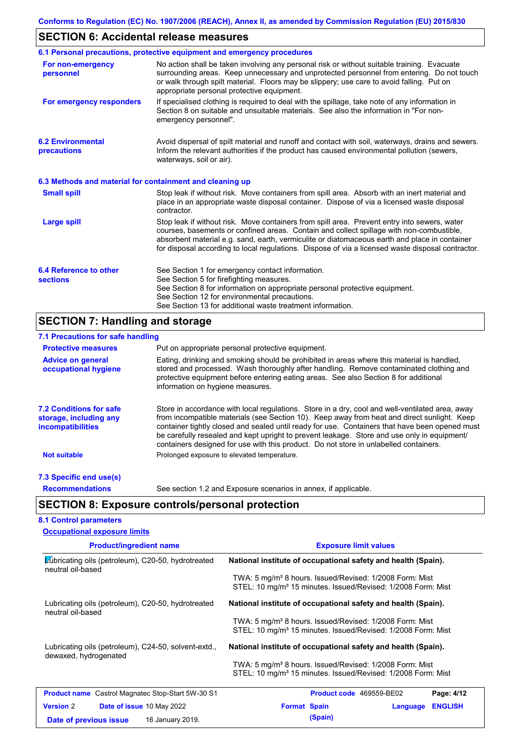# **SECTION 6: Accidental release measures**

|                                                          | 6.1 Personal precautions, protective equipment and emergency procedures                                                                                                                                                                                                                                                                                                                        |  |  |  |
|----------------------------------------------------------|------------------------------------------------------------------------------------------------------------------------------------------------------------------------------------------------------------------------------------------------------------------------------------------------------------------------------------------------------------------------------------------------|--|--|--|
| For non-emergency<br>personnel                           | No action shall be taken involving any personal risk or without suitable training. Evacuate<br>surrounding areas. Keep unnecessary and unprotected personnel from entering. Do not touch<br>or walk through spilt material. Floors may be slippery; use care to avoid falling. Put on<br>appropriate personal protective equipment.                                                            |  |  |  |
| For emergency responders                                 | If specialised clothing is required to deal with the spillage, take note of any information in<br>Section 8 on suitable and unsuitable materials. See also the information in "For non-<br>emergency personnel".                                                                                                                                                                               |  |  |  |
| <b>6.2 Environmental</b><br>precautions                  | Avoid dispersal of spilt material and runoff and contact with soil, waterways, drains and sewers.<br>Inform the relevant authorities if the product has caused environmental pollution (sewers,<br>waterways, soil or air).                                                                                                                                                                    |  |  |  |
| 6.3 Methods and material for containment and cleaning up |                                                                                                                                                                                                                                                                                                                                                                                                |  |  |  |
| <b>Small spill</b>                                       | Stop leak if without risk. Move containers from spill area. Absorb with an inert material and<br>place in an appropriate waste disposal container. Dispose of via a licensed waste disposal<br>contractor.                                                                                                                                                                                     |  |  |  |
| Large spill                                              | Stop leak if without risk. Move containers from spill area. Prevent entry into sewers, water<br>courses, basements or confined areas. Contain and collect spillage with non-combustible,<br>absorbent material e.g. sand, earth, vermiculite or diatomaceous earth and place in container<br>for disposal according to local regulations. Dispose of via a licensed waste disposal contractor. |  |  |  |
| 6.4 Reference to other<br><b>sections</b>                | See Section 1 for emergency contact information.<br>See Section 5 for firefighting measures.<br>See Section 8 for information on appropriate personal protective equipment.<br>See Section 12 for environmental precautions.<br>See Section 13 for additional waste treatment information.                                                                                                     |  |  |  |

# **SECTION 7: Handling and storage**

| 7.1 Precautions for safe handling                                                    |                                                                                                                                                                                                                                                                                                                                                                                                                                                                                          |
|--------------------------------------------------------------------------------------|------------------------------------------------------------------------------------------------------------------------------------------------------------------------------------------------------------------------------------------------------------------------------------------------------------------------------------------------------------------------------------------------------------------------------------------------------------------------------------------|
| <b>Protective measures</b>                                                           | Put on appropriate personal protective equipment.                                                                                                                                                                                                                                                                                                                                                                                                                                        |
| <b>Advice on general</b><br>occupational hygiene                                     | Eating, drinking and smoking should be prohibited in areas where this material is handled,<br>stored and processed. Wash thoroughly after handling. Remove contaminated clothing and<br>protective equipment before entering eating areas. See also Section 8 for additional<br>information on hygiene measures.                                                                                                                                                                         |
| <b>7.2 Conditions for safe</b><br>storage, including any<br><i>incompatibilities</i> | Store in accordance with local regulations. Store in a dry, cool and well-ventilated area, away<br>from incompatible materials (see Section 10). Keep away from heat and direct sunlight. Keep<br>container tightly closed and sealed until ready for use. Containers that have been opened must<br>be carefully resealed and kept upright to prevent leakage. Store and use only in equipment/<br>containers designed for use with this product. Do not store in unlabelled containers. |
| <b>Not suitable</b>                                                                  | Prolonged exposure to elevated temperature.                                                                                                                                                                                                                                                                                                                                                                                                                                              |
| 7.3 Specific end use(s)                                                              |                                                                                                                                                                                                                                                                                                                                                                                                                                                                                          |
| <b>Recommendations</b>                                                               | See section 1.2 and Exposure scenarios in annex, if applicable.                                                                                                                                                                                                                                                                                                                                                                                                                          |
|                                                                                      | <b>SECTION 8: Exposure controls/personal protection</b>                                                                                                                                                                                                                                                                                                                                                                                                                                  |
| <b>8.1 Control parameters</b>                                                        |                                                                                                                                                                                                                                                                                                                                                                                                                                                                                          |

| <b>Occupational exposure limits</b>                                           |                                                                                                                                                 |
|-------------------------------------------------------------------------------|-------------------------------------------------------------------------------------------------------------------------------------------------|
| <b>Product/ingredient name</b>                                                | <b>Exposure limit values</b>                                                                                                                    |
| Lubricating oils (petroleum), C20-50, hydrotreated<br>neutral oil-based       | National institute of occupational safety and health (Spain).                                                                                   |
|                                                                               | TWA: 5 mg/m <sup>3</sup> 8 hours. Issued/Revised: 1/2008 Form: Mist<br>STEL: 10 mg/m <sup>3</sup> 15 minutes. Issued/Revised: 1/2008 Form: Mist |
| Lubricating oils (petroleum), C20-50, hydrotreated                            | National institute of occupational safety and health (Spain).                                                                                   |
| neutral oil-based                                                             | TWA: 5 mg/m <sup>3</sup> 8 hours. Issued/Revised: 1/2008 Form: Mist                                                                             |
|                                                                               | STEL: 10 mg/m <sup>3</sup> 15 minutes. Issued/Revised: 1/2008 Form: Mist                                                                        |
| Lubricating oils (petroleum), C24-50, solvent-extd.,<br>dewaxed, hydrogenated | National institute of occupational safety and health (Spain).                                                                                   |
|                                                                               | TWA: 5 mg/m <sup>3</sup> 8 hours. Issued/Revised: 1/2008 Form: Mist<br>STEL: 10 mg/m <sup>3</sup> 15 minutes. Issued/Revised: 1/2008 Form: Mist |
| <b>Product name</b> Castrol Magnatec Stop-Start 5W-30 S1                      | Page: 4/12<br><b>Product code</b> 469559-BE02                                                                                                   |
| <b>Version 2</b><br><b>Date of issue 10 May 2022</b>                          | <b>Format Spain</b><br><b>ENGLISH</b><br>Language                                                                                               |
| 16 January 2019.<br>Date of previous issue                                    | (Spain)                                                                                                                                         |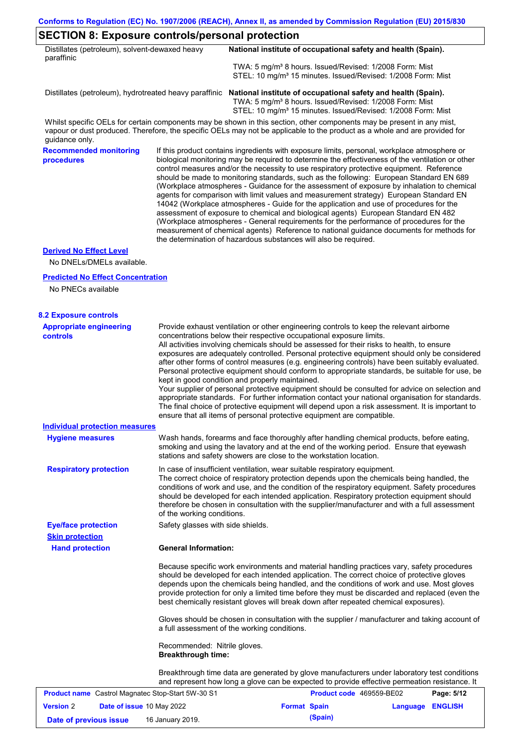٦

# **SECTION 8: Exposure controls/personal protection**

| Distillates (petroleum), solvent-dewaxed heavy<br>paraffinic |                                                           | National institute of occupational safety and health (Spain).                                                                                                                                                                                                                                                                                                                                                                                                                                                                                                                                                                                                                                                                                                                                                                                                                                                                                                                                                              |
|--------------------------------------------------------------|-----------------------------------------------------------|----------------------------------------------------------------------------------------------------------------------------------------------------------------------------------------------------------------------------------------------------------------------------------------------------------------------------------------------------------------------------------------------------------------------------------------------------------------------------------------------------------------------------------------------------------------------------------------------------------------------------------------------------------------------------------------------------------------------------------------------------------------------------------------------------------------------------------------------------------------------------------------------------------------------------------------------------------------------------------------------------------------------------|
|                                                              |                                                           | TWA: 5 mg/m <sup>3</sup> 8 hours. Issued/Revised: 1/2008 Form: Mist<br>STEL: 10 mg/m <sup>3</sup> 15 minutes. Issued/Revised: 1/2008 Form: Mist                                                                                                                                                                                                                                                                                                                                                                                                                                                                                                                                                                                                                                                                                                                                                                                                                                                                            |
|                                                              |                                                           | Distillates (petroleum), hydrotreated heavy paraffinic National institute of occupational safety and health (Spain).<br>TWA: 5 mg/m <sup>3</sup> 8 hours. Issued/Revised: 1/2008 Form: Mist<br>STEL: 10 mg/m <sup>3</sup> 15 minutes. Issued/Revised: 1/2008 Form: Mist                                                                                                                                                                                                                                                                                                                                                                                                                                                                                                                                                                                                                                                                                                                                                    |
| guidance only.                                               |                                                           | Whilst specific OELs for certain components may be shown in this section, other components may be present in any mist,<br>vapour or dust produced. Therefore, the specific OELs may not be applicable to the product as a whole and are provided for                                                                                                                                                                                                                                                                                                                                                                                                                                                                                                                                                                                                                                                                                                                                                                       |
| <b>Recommended monitoring</b><br>procedures                  |                                                           | If this product contains ingredients with exposure limits, personal, workplace atmosphere or<br>biological monitoring may be required to determine the effectiveness of the ventilation or other<br>control measures and/or the necessity to use respiratory protective equipment. Reference<br>should be made to monitoring standards, such as the following: European Standard EN 689<br>(Workplace atmospheres - Guidance for the assessment of exposure by inhalation to chemical<br>agents for comparison with limit values and measurement strategy) European Standard EN<br>14042 (Workplace atmospheres - Guide for the application and use of procedures for the<br>assessment of exposure to chemical and biological agents) European Standard EN 482<br>(Workplace atmospheres - General requirements for the performance of procedures for the<br>measurement of chemical agents) Reference to national guidance documents for methods for<br>the determination of hazardous substances will also be required. |
| <b>Derived No Effect Level</b>                               |                                                           |                                                                                                                                                                                                                                                                                                                                                                                                                                                                                                                                                                                                                                                                                                                                                                                                                                                                                                                                                                                                                            |
| No DNELs/DMELs available.                                    |                                                           |                                                                                                                                                                                                                                                                                                                                                                                                                                                                                                                                                                                                                                                                                                                                                                                                                                                                                                                                                                                                                            |
| <b>Predicted No Effect Concentration</b>                     |                                                           |                                                                                                                                                                                                                                                                                                                                                                                                                                                                                                                                                                                                                                                                                                                                                                                                                                                                                                                                                                                                                            |
| No PNECs available                                           |                                                           |                                                                                                                                                                                                                                                                                                                                                                                                                                                                                                                                                                                                                                                                                                                                                                                                                                                                                                                                                                                                                            |
| <b>8.2 Exposure controls</b>                                 |                                                           |                                                                                                                                                                                                                                                                                                                                                                                                                                                                                                                                                                                                                                                                                                                                                                                                                                                                                                                                                                                                                            |
| <b>Appropriate engineering</b><br><b>controls</b>            |                                                           | Provide exhaust ventilation or other engineering controls to keep the relevant airborne<br>concentrations below their respective occupational exposure limits.<br>All activities involving chemicals should be assessed for their risks to health, to ensure<br>exposures are adequately controlled. Personal protective equipment should only be considered<br>after other forms of control measures (e.g. engineering controls) have been suitably evaluated.<br>Personal protective equipment should conform to appropriate standards, be suitable for use, be<br>kept in good condition and properly maintained.<br>Your supplier of personal protective equipment should be consulted for advice on selection and<br>appropriate standards. For further information contact your national organisation for standards.<br>The final choice of protective equipment will depend upon a risk assessment. It is important to<br>ensure that all items of personal protective equipment are compatible.                    |
| <b>Individual protection measures</b>                        |                                                           |                                                                                                                                                                                                                                                                                                                                                                                                                                                                                                                                                                                                                                                                                                                                                                                                                                                                                                                                                                                                                            |
| <b>Hygiene measures</b>                                      |                                                           | Wash hands, forearms and face thoroughly after handling chemical products, before eating,<br>smoking and using the lavatory and at the end of the working period. Ensure that eyewash<br>stations and safety showers are close to the workstation location.                                                                                                                                                                                                                                                                                                                                                                                                                                                                                                                                                                                                                                                                                                                                                                |
| <b>Respiratory protection</b>                                | of the working conditions.                                | In case of insufficient ventilation, wear suitable respiratory equipment.<br>The correct choice of respiratory protection depends upon the chemicals being handled, the<br>conditions of work and use, and the condition of the respiratory equipment. Safety procedures<br>should be developed for each intended application. Respiratory protection equipment should<br>therefore be chosen in consultation with the supplier/manufacturer and with a full assessment                                                                                                                                                                                                                                                                                                                                                                                                                                                                                                                                                    |
| <b>Eye/face protection</b>                                   | Safety glasses with side shields.                         |                                                                                                                                                                                                                                                                                                                                                                                                                                                                                                                                                                                                                                                                                                                                                                                                                                                                                                                                                                                                                            |
| <b>Skin protection</b><br><b>Hand protection</b>             | <b>General Information:</b>                               |                                                                                                                                                                                                                                                                                                                                                                                                                                                                                                                                                                                                                                                                                                                                                                                                                                                                                                                                                                                                                            |
|                                                              |                                                           | Because specific work environments and material handling practices vary, safety procedures<br>should be developed for each intended application. The correct choice of protective gloves<br>depends upon the chemicals being handled, and the conditions of work and use. Most gloves<br>provide protection for only a limited time before they must be discarded and replaced (even the<br>best chemically resistant gloves will break down after repeated chemical exposures).                                                                                                                                                                                                                                                                                                                                                                                                                                                                                                                                           |
|                                                              |                                                           | Gloves should be chosen in consultation with the supplier / manufacturer and taking account of<br>a full assessment of the working conditions.                                                                                                                                                                                                                                                                                                                                                                                                                                                                                                                                                                                                                                                                                                                                                                                                                                                                             |
|                                                              | Recommended: Nitrile gloves.<br><b>Breakthrough time:</b> |                                                                                                                                                                                                                                                                                                                                                                                                                                                                                                                                                                                                                                                                                                                                                                                                                                                                                                                                                                                                                            |
|                                                              |                                                           |                                                                                                                                                                                                                                                                                                                                                                                                                                                                                                                                                                                                                                                                                                                                                                                                                                                                                                                                                                                                                            |

Breakthrough time data are generated by glove manufacturers under laboratory test conditions and represent how long a glove can be expected to provide effective permeation resistance. It

| <b>Product name</b> Castrol Magnatec Stop-Start 5W-30 S1 |  |                                  | <b>Product code</b> 469559-BE02 | Page: 5/12 |                  |  |
|----------------------------------------------------------|--|----------------------------------|---------------------------------|------------|------------------|--|
| <b>Version 2</b>                                         |  | <b>Date of issue 10 May 2022</b> | <b>Format Spain</b>             |            | Language ENGLISH |  |
| Date of previous issue                                   |  | 16 January 2019.                 |                                 | (Spain)    |                  |  |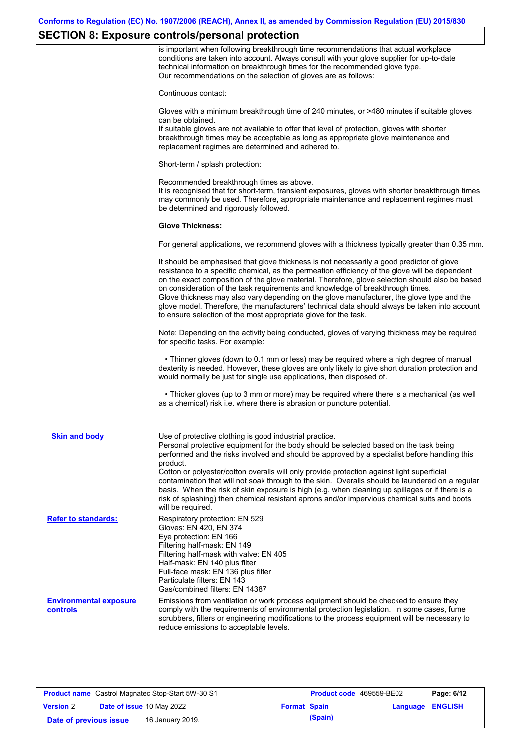## **SECTION 8: Exposure controls/personal protection**

is important when following breakthrough time recommendations that actual workplace conditions are taken into account. Always consult with your glove supplier for up-to-date technical information on breakthrough times for the recommended glove type. Our recommendations on the selection of gloves are as follows:

Continuous contact:

Gloves with a minimum breakthrough time of 240 minutes, or >480 minutes if suitable gloves can be obtained.

If suitable gloves are not available to offer that level of protection, gloves with shorter breakthrough times may be acceptable as long as appropriate glove maintenance and replacement regimes are determined and adhered to.

Short-term / splash protection:

Recommended breakthrough times as above. It is recognised that for short-term, transient exposures, gloves with shorter breakthrough times may commonly be used. Therefore, appropriate maintenance and replacement regimes must be determined and rigorously followed.

#### **Glove Thickness:**

For general applications, we recommend gloves with a thickness typically greater than 0.35 mm.

|                                           | It should be emphasised that glove thickness is not necessarily a good predictor of glove<br>resistance to a specific chemical, as the permeation efficiency of the glove will be dependent<br>on the exact composition of the glove material. Therefore, glove selection should also be based<br>on consideration of the task requirements and knowledge of breakthrough times.<br>Glove thickness may also vary depending on the glove manufacturer, the glove type and the<br>glove model. Therefore, the manufacturers' technical data should always be taken into account<br>to ensure selection of the most appropriate glove for the task.                                     |
|-------------------------------------------|---------------------------------------------------------------------------------------------------------------------------------------------------------------------------------------------------------------------------------------------------------------------------------------------------------------------------------------------------------------------------------------------------------------------------------------------------------------------------------------------------------------------------------------------------------------------------------------------------------------------------------------------------------------------------------------|
|                                           | Note: Depending on the activity being conducted, gloves of varying thickness may be required<br>for specific tasks. For example:                                                                                                                                                                                                                                                                                                                                                                                                                                                                                                                                                      |
|                                           | • Thinner gloves (down to 0.1 mm or less) may be required where a high degree of manual<br>dexterity is needed. However, these gloves are only likely to give short duration protection and<br>would normally be just for single use applications, then disposed of.                                                                                                                                                                                                                                                                                                                                                                                                                  |
|                                           | • Thicker gloves (up to 3 mm or more) may be required where there is a mechanical (as well<br>as a chemical) risk i.e. where there is abrasion or puncture potential.                                                                                                                                                                                                                                                                                                                                                                                                                                                                                                                 |
| <b>Skin and body</b>                      | Use of protective clothing is good industrial practice.<br>Personal protective equipment for the body should be selected based on the task being<br>performed and the risks involved and should be approved by a specialist before handling this<br>product.<br>Cotton or polyester/cotton overalls will only provide protection against light superficial<br>contamination that will not soak through to the skin. Overalls should be laundered on a regular<br>basis. When the risk of skin exposure is high (e.g. when cleaning up spillages or if there is a<br>risk of splashing) then chemical resistant aprons and/or impervious chemical suits and boots<br>will be required. |
| <b>Refer to standards:</b>                | Respiratory protection: EN 529<br>Gloves: EN 420, EN 374<br>Eye protection: EN 166<br>Filtering half-mask: EN 149<br>Filtering half-mask with valve: EN 405<br>Half-mask: EN 140 plus filter<br>Full-face mask: EN 136 plus filter<br>Particulate filters: EN 143<br>Gas/combined filters: EN 14387                                                                                                                                                                                                                                                                                                                                                                                   |
| <b>Environmental exposure</b><br>controls | Emissions from ventilation or work process equipment should be checked to ensure they<br>comply with the requirements of environmental protection legislation. In some cases, fume<br>scrubbers, filters or engineering modifications to the process equipment will be necessary to<br>reduce emissions to acceptable levels.                                                                                                                                                                                                                                                                                                                                                         |

| <b>Product name</b> Castrol Magnatec Stop-Start 5W-30 S1 |  |                                  | <b>Product code</b> 469559-BE02 |         | Page: 6/12              |  |
|----------------------------------------------------------|--|----------------------------------|---------------------------------|---------|-------------------------|--|
| <b>Version 2</b>                                         |  | <b>Date of issue 10 May 2022</b> | <b>Format Spain</b>             |         | <b>Language ENGLISH</b> |  |
| Date of previous issue                                   |  | 16 January 2019.                 |                                 | (Spain) |                         |  |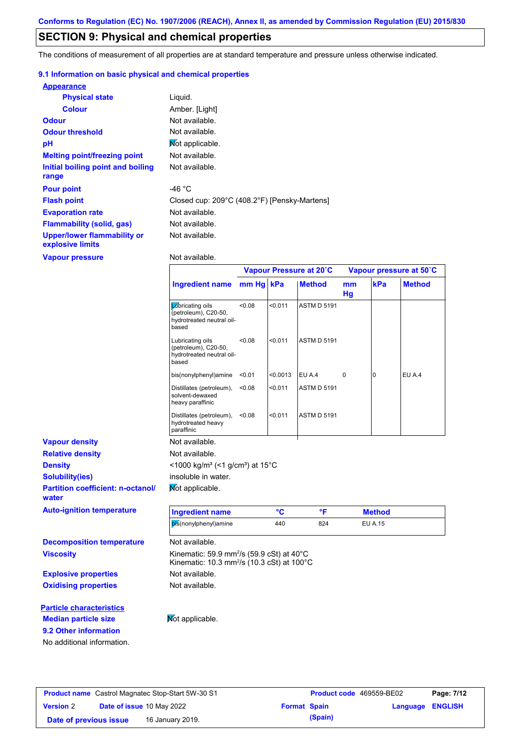## **SECTION 9: Physical and chemical properties**

The conditions of measurement of all properties are at standard temperature and pressure unless otherwise indicated.

### **9.1 Information on basic physical and chemical properties**

| <b>Appearance</b>                               |                                              |
|-------------------------------------------------|----------------------------------------------|
| <b>Physical state</b>                           | Liquid.                                      |
| <b>Colour</b>                                   | Amber. [Light]                               |
| <b>Odour</b>                                    | Not available.                               |
| <b>Odour threshold</b>                          | Not available.                               |
| pH                                              | Mot applicable.                              |
| <b>Melting point/freezing point</b>             | Not available.                               |
| Initial boiling point and boiling<br>range      | Not available.                               |
| <b>Pour point</b>                               | -46 $^{\circ}$ C                             |
| <b>Flash point</b>                              | Closed cup: 209°C (408.2°F) [Pensky-Martens] |
| <b>Evaporation rate</b>                         | Not available.                               |
| <b>Flammability (solid, gas)</b>                | Not available.                               |
| Upper/lower flammability or<br>explosive limits | Not available.                               |

**Vapour pressure**

**9.2 Other information**

No additional information.

Not available.

|                                                   |                                                                                                                                      | Vapour Pressure at 20°C |          |                    | Vapour pressure at 50°C |                |               |
|---------------------------------------------------|--------------------------------------------------------------------------------------------------------------------------------------|-------------------------|----------|--------------------|-------------------------|----------------|---------------|
|                                                   | <b>Ingredient name</b>                                                                                                               | mm Hg kPa               |          | <b>Method</b>      | mm<br>Hg                | kPa            | <b>Method</b> |
|                                                   | <b>L</b> úbricating oils<br>(petroleum), C20-50,<br>hydrotreated neutral oil-<br>based                                               | < 0.08                  | < 0.011  | <b>ASTM D 5191</b> |                         |                |               |
|                                                   | Lubricating oils<br>(petroleum), C20-50,<br>hydrotreated neutral oil-<br>based                                                       | <0.08                   | < 0.011  | <b>ASTM D 5191</b> |                         |                |               |
|                                                   | bis(nonylphenyl)amine                                                                                                                | < 0.01                  | < 0.0013 | EU A.4             | 0                       | $\overline{0}$ | EU A.4        |
|                                                   | Distillates (petroleum),<br>solvent-dewaxed<br>heavy paraffinic                                                                      | < 0.08                  | < 0.011  | <b>ASTM D 5191</b> |                         |                |               |
|                                                   | Distillates (petroleum),<br>hydrotreated heavy<br>paraffinic                                                                         | <0.08                   | < 0.011  | <b>ASTM D 5191</b> |                         |                |               |
| <b>Vapour density</b>                             | Not available.                                                                                                                       |                         |          |                    |                         |                |               |
| <b>Relative density</b>                           | Not available.                                                                                                                       |                         |          |                    |                         |                |               |
| <b>Density</b>                                    | <1000 kg/m <sup>3</sup> (<1 g/cm <sup>3</sup> ) at 15 <sup>°</sup> C                                                                 |                         |          |                    |                         |                |               |
| <b>Solubility(ies)</b>                            | insoluble in water.                                                                                                                  |                         |          |                    |                         |                |               |
| <b>Partition coefficient: n-octanol/</b><br>water | Not applicable.                                                                                                                      |                         |          |                    |                         |                |               |
| <b>Auto-ignition temperature</b>                  | <b>Ingredient name</b>                                                                                                               |                         | °C       | °F                 |                         | <b>Method</b>  |               |
|                                                   | bis(nonylphenyl)amine                                                                                                                |                         | 440      | 824                |                         | <b>EU A.15</b> |               |
| <b>Decomposition temperature</b>                  | Not available.                                                                                                                       |                         |          |                    |                         |                |               |
| <b>Viscosity</b>                                  | Kinematic: 59.9 mm <sup>2</sup> /s (59.9 cSt) at $40^{\circ}$ C<br>Kinematic: 10.3 mm <sup>2</sup> /s (10.3 cSt) at 100 $^{\circ}$ C |                         |          |                    |                         |                |               |
| <b>Explosive properties</b>                       | Not available.                                                                                                                       |                         |          |                    |                         |                |               |
| <b>Oxidising properties</b>                       | Not available.                                                                                                                       |                         |          |                    |                         |                |               |
| <b>Particle characteristics</b>                   |                                                                                                                                      |                         |          |                    |                         |                |               |
| <b>Median particle size</b>                       | Not applicable.                                                                                                                      |                         |          |                    |                         |                |               |

| <b>Product name</b> Castrol Magnatec Stop-Start 5W-30 S1 |                                  |                  | Product code 469559-BE02 |         | Page: 7/12              |  |
|----------------------------------------------------------|----------------------------------|------------------|--------------------------|---------|-------------------------|--|
| <b>Version 2</b>                                         | <b>Date of issue 10 May 2022</b> |                  | <b>Format Spain</b>      |         | <b>Language ENGLISH</b> |  |
| Date of previous issue                                   |                                  | 16 January 2019. |                          | (Spain) |                         |  |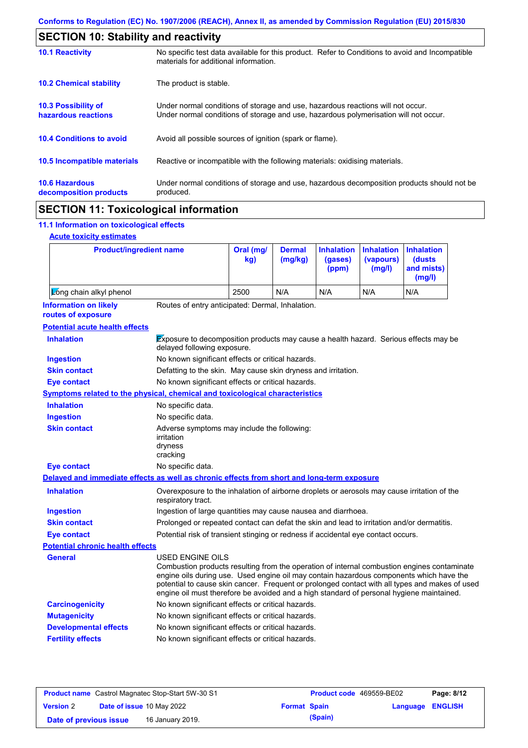|                                                 | <b>SECTION 10: Stability and reactivity</b>                                                                                                                             |  |  |  |  |  |  |
|-------------------------------------------------|-------------------------------------------------------------------------------------------------------------------------------------------------------------------------|--|--|--|--|--|--|
| <b>10.1 Reactivity</b>                          | No specific test data available for this product. Refer to Conditions to avoid and Incompatible<br>materials for additional information.                                |  |  |  |  |  |  |
| <b>10.2 Chemical stability</b>                  | The product is stable.                                                                                                                                                  |  |  |  |  |  |  |
| 10.3 Possibility of<br>hazardous reactions      | Under normal conditions of storage and use, hazardous reactions will not occur.<br>Under normal conditions of storage and use, hazardous polymerisation will not occur. |  |  |  |  |  |  |
| <b>10.4 Conditions to avoid</b>                 | Avoid all possible sources of ignition (spark or flame).                                                                                                                |  |  |  |  |  |  |
| 10.5 Incompatible materials                     | Reactive or incompatible with the following materials: oxidising materials.                                                                                             |  |  |  |  |  |  |
| <b>10.6 Hazardous</b><br>decomposition products | Under normal conditions of storage and use, hazardous decomposition products should not be<br>produced.                                                                 |  |  |  |  |  |  |
|                                                 |                                                                                                                                                                         |  |  |  |  |  |  |

# **SECTION 11: Toxicological information**

## **11.1 Information on toxicological effects**

|  | <b>Acute toxicity estimates</b> |
|--|---------------------------------|
|  |                                 |

 $\mathbf{r}$ 

| <b>Product/ingredient name</b>                                                             |                                                                                                                                                                                                                                                                                                                                                                                                          | Oral (mg/<br>kg) | <b>Dermal</b><br>(mg/kg) | <b>Inhalation</b><br>(gases)<br>(ppm) | <b>Inhalation</b><br>(vapours)<br>(mg/l) | <b>Inhalation</b><br>(dusts)<br>and mists)<br>(mg/l) |
|--------------------------------------------------------------------------------------------|----------------------------------------------------------------------------------------------------------------------------------------------------------------------------------------------------------------------------------------------------------------------------------------------------------------------------------------------------------------------------------------------------------|------------------|--------------------------|---------------------------------------|------------------------------------------|------------------------------------------------------|
| Zong chain alkyl phenol                                                                    |                                                                                                                                                                                                                                                                                                                                                                                                          | 2500             | N/A                      | N/A                                   | N/A                                      | N/A                                                  |
| <b>Information on likely</b><br>routes of exposure                                         | Routes of entry anticipated: Dermal, Inhalation.                                                                                                                                                                                                                                                                                                                                                         |                  |                          |                                       |                                          |                                                      |
| <b>Potential acute health effects</b>                                                      |                                                                                                                                                                                                                                                                                                                                                                                                          |                  |                          |                                       |                                          |                                                      |
| <b>Inhalation</b>                                                                          | Exposure to decomposition products may cause a health hazard. Serious effects may be<br>delayed following exposure.                                                                                                                                                                                                                                                                                      |                  |                          |                                       |                                          |                                                      |
| <b>Ingestion</b>                                                                           | No known significant effects or critical hazards.                                                                                                                                                                                                                                                                                                                                                        |                  |                          |                                       |                                          |                                                      |
| <b>Skin contact</b>                                                                        | Defatting to the skin. May cause skin dryness and irritation.                                                                                                                                                                                                                                                                                                                                            |                  |                          |                                       |                                          |                                                      |
| <b>Eye contact</b>                                                                         | No known significant effects or critical hazards.                                                                                                                                                                                                                                                                                                                                                        |                  |                          |                                       |                                          |                                                      |
| Symptoms related to the physical, chemical and toxicological characteristics               |                                                                                                                                                                                                                                                                                                                                                                                                          |                  |                          |                                       |                                          |                                                      |
| <b>Inhalation</b>                                                                          | No specific data.                                                                                                                                                                                                                                                                                                                                                                                        |                  |                          |                                       |                                          |                                                      |
| <b>Ingestion</b>                                                                           | No specific data.                                                                                                                                                                                                                                                                                                                                                                                        |                  |                          |                                       |                                          |                                                      |
| <b>Skin contact</b>                                                                        | Adverse symptoms may include the following:<br>irritation<br>dryness<br>cracking                                                                                                                                                                                                                                                                                                                         |                  |                          |                                       |                                          |                                                      |
| <b>Eye contact</b>                                                                         | No specific data.                                                                                                                                                                                                                                                                                                                                                                                        |                  |                          |                                       |                                          |                                                      |
| Delayed and immediate effects as well as chronic effects from short and long-term exposure |                                                                                                                                                                                                                                                                                                                                                                                                          |                  |                          |                                       |                                          |                                                      |
| <b>Inhalation</b>                                                                          | Overexposure to the inhalation of airborne droplets or aerosols may cause irritation of the<br>respiratory tract.                                                                                                                                                                                                                                                                                        |                  |                          |                                       |                                          |                                                      |
| <b>Ingestion</b>                                                                           | Ingestion of large quantities may cause nausea and diarrhoea.                                                                                                                                                                                                                                                                                                                                            |                  |                          |                                       |                                          |                                                      |
| <b>Skin contact</b>                                                                        | Prolonged or repeated contact can defat the skin and lead to irritation and/or dermatitis.                                                                                                                                                                                                                                                                                                               |                  |                          |                                       |                                          |                                                      |
| <b>Eye contact</b>                                                                         | Potential risk of transient stinging or redness if accidental eye contact occurs.                                                                                                                                                                                                                                                                                                                        |                  |                          |                                       |                                          |                                                      |
| <b>Potential chronic health effects</b>                                                    |                                                                                                                                                                                                                                                                                                                                                                                                          |                  |                          |                                       |                                          |                                                      |
| General                                                                                    | USED ENGINE OILS<br>Combustion products resulting from the operation of internal combustion engines contaminate<br>engine oils during use. Used engine oil may contain hazardous components which have the<br>potential to cause skin cancer. Frequent or prolonged contact with all types and makes of used<br>engine oil must therefore be avoided and a high standard of personal hygiene maintained. |                  |                          |                                       |                                          |                                                      |
| <b>Carcinogenicity</b>                                                                     | No known significant effects or critical hazards.                                                                                                                                                                                                                                                                                                                                                        |                  |                          |                                       |                                          |                                                      |
| <b>Mutagenicity</b>                                                                        | No known significant effects or critical hazards.                                                                                                                                                                                                                                                                                                                                                        |                  |                          |                                       |                                          |                                                      |
| <b>Developmental effects</b>                                                               | No known significant effects or critical hazards.                                                                                                                                                                                                                                                                                                                                                        |                  |                          |                                       |                                          |                                                      |
| <b>Fertility effects</b>                                                                   | No known significant effects or critical hazards.                                                                                                                                                                                                                                                                                                                                                        |                  |                          |                                       |                                          |                                                      |

| <b>Product name</b> Castrol Magnatec Stop-Start 5W-30 S1 |  |                           | <b>Product code</b> 469559-BE02 |         | Page: 8/12              |  |
|----------------------------------------------------------|--|---------------------------|---------------------------------|---------|-------------------------|--|
| <b>Version 2</b>                                         |  | Date of issue 10 May 2022 | <b>Format Spain</b>             |         | <b>Language ENGLISH</b> |  |
| Date of previous issue                                   |  | 16 January 2019.          |                                 | (Spain) |                         |  |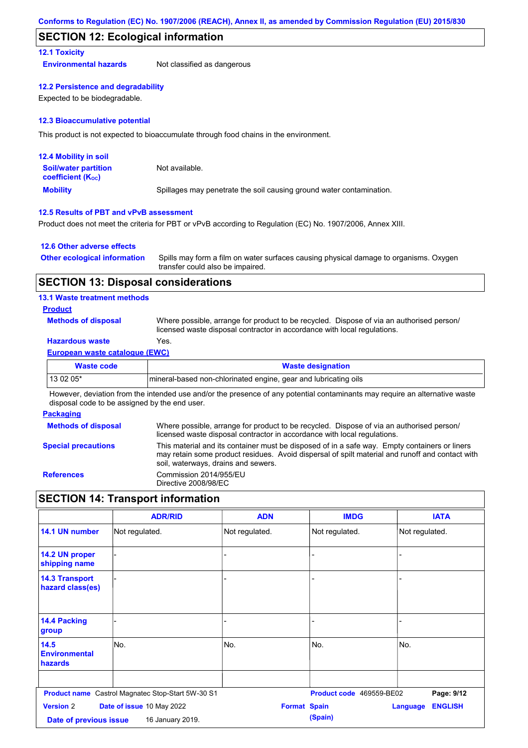## **SECTION 12: Ecological information**

## **12.1 Toxicity**

**Environmental hazards** Not classified as dangerous

#### **12.2 Persistence and degradability**

Expected to be biodegradable.

#### **12.3 Bioaccumulative potential**

This product is not expected to bioaccumulate through food chains in the environment.

| <b>12.4 Mobility in soil</b>                                  |                                                                      |
|---------------------------------------------------------------|----------------------------------------------------------------------|
| <b>Soil/water partition</b><br>coefficient (K <sub>oc</sub> ) | Not available.                                                       |
| <b>Mobility</b>                                               | Spillages may penetrate the soil causing ground water contamination. |

### **12.5 Results of PBT and vPvB assessment**

Product does not meet the criteria for PBT or vPvB according to Regulation (EC) No. 1907/2006, Annex XIII.

### **12.6 Other adverse effects**

| <b>Other ecological information</b> | Spills may form a film on water surfaces causing physical damage to organisms. Oxygen |
|-------------------------------------|---------------------------------------------------------------------------------------|
|                                     | transfer could also be impaired.                                                      |

## **SECTION 13: Disposal considerations**

### **13.1 Waste treatment methods**

### **Product**

**Methods of disposal**

Where possible, arrange for product to be recycled. Dispose of via an authorised person/ licensed waste disposal contractor in accordance with local regulations.

## **Hazardous waste** Yes.

#### **European waste catalogue (EWC)**

| Waste code | <b>Waste designation</b>                                         |
|------------|------------------------------------------------------------------|
| $130205*$  | Imineral-based non-chlorinated engine, gear and lubricating oils |

However, deviation from the intended use and/or the presence of any potential contaminants may require an alternative waste disposal code to be assigned by the end user.

#### **Packaging**

| <b>Methods of disposal</b> | Where possible, arrange for product to be recycled. Dispose of via an authorised person/<br>licensed waste disposal contractor in accordance with local regulations.                                                                    |
|----------------------------|-----------------------------------------------------------------------------------------------------------------------------------------------------------------------------------------------------------------------------------------|
| <b>Special precautions</b> | This material and its container must be disposed of in a safe way. Empty containers or liners<br>may retain some product residues. Avoid dispersal of spilt material and runoff and contact with<br>soil, waterways, drains and sewers. |
| <b>References</b>          | Commission 2014/955/EU<br>Directive 2008/98/EC                                                                                                                                                                                          |

## **SECTION 14: Transport information**

|                                            | <b>ADR/RID</b>                                    | <b>ADN</b>          | <b>IMDG</b>              | <b>IATA</b>                       |
|--------------------------------------------|---------------------------------------------------|---------------------|--------------------------|-----------------------------------|
| 14.1 UN number                             | Not regulated.                                    | Not regulated.      | Not regulated.           | Not regulated.                    |
| 14.2 UN proper<br>shipping name            |                                                   | -                   |                          |                                   |
| <b>14.3 Transport</b><br>hazard class(es)  |                                                   |                     |                          |                                   |
| <b>14.4 Packing</b><br>group               |                                                   |                     |                          |                                   |
| 14.5<br><b>Environmental</b><br>hazards    | No.                                               | No.                 | No.                      | No.                               |
|                                            | Product name Castrol Magnatec Stop-Start 5W-30 S1 |                     | Product code 469559-BE02 | Page: 9/12                        |
| <b>Version 2</b><br>Date of previous issue | Date of issue 10 May 2022<br>16 January 2019.     | <b>Format Spain</b> | (Spain)                  | <b>ENGLISH</b><br><b>Language</b> |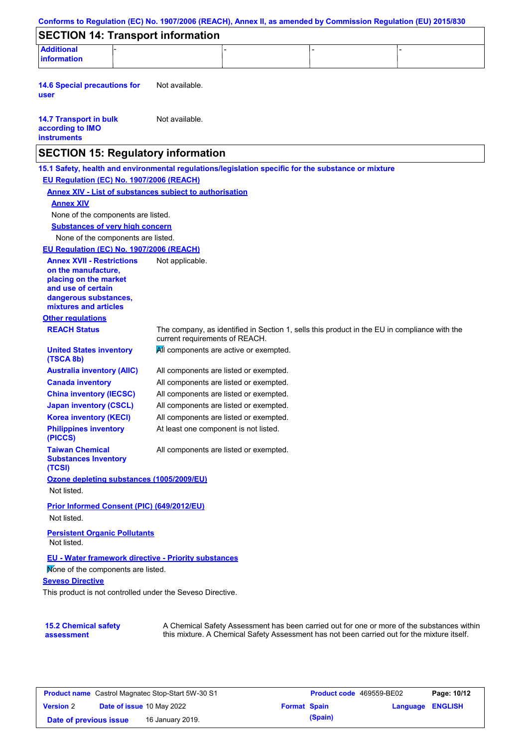|                                                                                                                                 | <b>SECTION 14: Transport information</b>                                                            |                                                                                              |  |
|---------------------------------------------------------------------------------------------------------------------------------|-----------------------------------------------------------------------------------------------------|----------------------------------------------------------------------------------------------|--|
| <b>Additional</b>                                                                                                               |                                                                                                     |                                                                                              |  |
| information                                                                                                                     |                                                                                                     |                                                                                              |  |
| <b>14.6 Special precautions for</b><br>user                                                                                     | Not available.                                                                                      |                                                                                              |  |
| <b>14.7 Transport in bulk</b><br>according to IMO<br><b>instruments</b>                                                         | Not available.                                                                                      |                                                                                              |  |
|                                                                                                                                 | <b>SECTION 15: Regulatory information</b>                                                           |                                                                                              |  |
|                                                                                                                                 | 15.1 Safety, health and environmental regulations/legislation specific for the substance or mixture |                                                                                              |  |
| EU Regulation (EC) No. 1907/2006 (REACH)                                                                                        |                                                                                                     |                                                                                              |  |
|                                                                                                                                 | <b>Annex XIV - List of substances subject to authorisation</b>                                      |                                                                                              |  |
| <b>Annex XIV</b>                                                                                                                |                                                                                                     |                                                                                              |  |
| None of the components are listed.                                                                                              |                                                                                                     |                                                                                              |  |
| <b>Substances of very high concern</b>                                                                                          |                                                                                                     |                                                                                              |  |
| None of the components are listed.                                                                                              |                                                                                                     |                                                                                              |  |
| EU Regulation (EC) No. 1907/2006 (REACH)                                                                                        |                                                                                                     |                                                                                              |  |
| <b>Annex XVII - Restrictions</b><br>on the manufacture,<br>placing on the market<br>and use of certain<br>dangerous substances, | Not applicable.                                                                                     |                                                                                              |  |
| mixtures and articles                                                                                                           |                                                                                                     |                                                                                              |  |
| <b>Other regulations</b>                                                                                                        |                                                                                                     |                                                                                              |  |
| <b>REACH Status</b>                                                                                                             | current requirements of REACH.                                                                      | The company, as identified in Section 1, sells this product in the EU in compliance with the |  |
| <b>United States inventory</b><br>(TSCA 8b)                                                                                     |                                                                                                     | All components are active or exempted.                                                       |  |
| <b>Australia inventory (AIIC)</b>                                                                                               |                                                                                                     | All components are listed or exempted.                                                       |  |
| <b>Canada inventory</b>                                                                                                         |                                                                                                     | All components are listed or exempted.                                                       |  |
| <b>China inventory (IECSC)</b>                                                                                                  |                                                                                                     | All components are listed or exempted.                                                       |  |
| <b>Japan inventory (CSCL)</b>                                                                                                   |                                                                                                     | All components are listed or exempted.                                                       |  |
| <b>Korea inventory (KECI)</b>                                                                                                   |                                                                                                     | All components are listed or exempted.                                                       |  |
| <b>Philippines inventory</b><br>(PICCS)                                                                                         | At least one component is not listed.                                                               |                                                                                              |  |
| <b>Taiwan Chemical</b><br><b>Substances Inventory</b><br>(TCSI)                                                                 |                                                                                                     | All components are listed or exempted.                                                       |  |
|                                                                                                                                 | Ozone depleting substances (1005/2009/EU)                                                           |                                                                                              |  |
| Not listed.                                                                                                                     |                                                                                                     |                                                                                              |  |
|                                                                                                                                 | Prior Informed Consent (PIC) (649/2012/EU)                                                          |                                                                                              |  |
| Not listed.                                                                                                                     |                                                                                                     |                                                                                              |  |
| <b>Persistent Organic Pollutants</b><br>Not listed.                                                                             |                                                                                                     |                                                                                              |  |
|                                                                                                                                 | EU - Water framework directive - Priority substances                                                |                                                                                              |  |
| Mone of the components are listed.                                                                                              |                                                                                                     |                                                                                              |  |
| <b>Seveso Directive</b>                                                                                                         |                                                                                                     |                                                                                              |  |
|                                                                                                                                 | This product is not controlled under the Seveso Directive.                                          |                                                                                              |  |
|                                                                                                                                 |                                                                                                     |                                                                                              |  |
| <b>15.2 Chemical safety</b>                                                                                                     |                                                                                                     | A Chemical Safety Assessment has been carried out for one or more of the substances within   |  |
| assessment                                                                                                                      |                                                                                                     | this mixture. A Chemical Safety Assessment has not been carried out for the mixture itself.  |  |

| <b>Product name</b> Castrol Magnatec Stop-Start 5W-30 S1 |  | <b>Product code</b> 469559-BE02  |                     | Page: 10/12 |                         |  |
|----------------------------------------------------------|--|----------------------------------|---------------------|-------------|-------------------------|--|
| <b>Version 2</b>                                         |  | <b>Date of issue 10 May 2022</b> | <b>Format Spain</b> |             | <b>Language ENGLISH</b> |  |
| Date of previous issue                                   |  | 16 January 2019.                 |                     | (Spain)     |                         |  |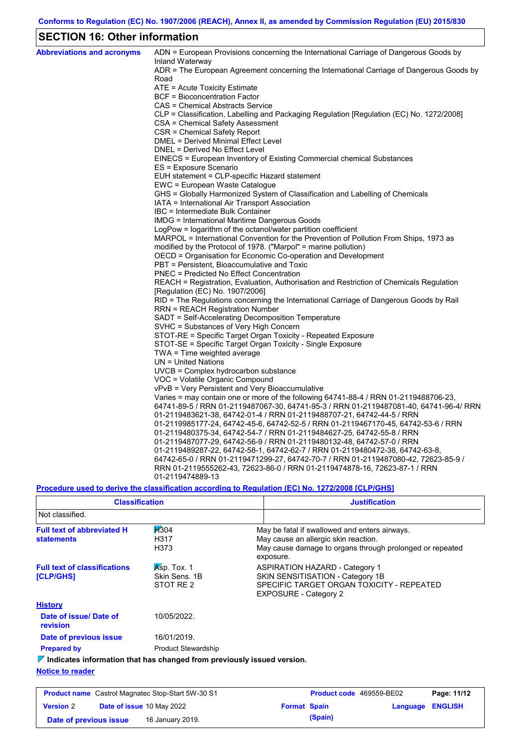# **SECTION 16: Other information**

| <b>Abbreviations and acronyms</b> | ADN = European Provisions concerning the International Carriage of Dangerous Goods by<br>Inland Waterway                                   |
|-----------------------------------|--------------------------------------------------------------------------------------------------------------------------------------------|
|                                   | ADR = The European Agreement concerning the International Carriage of Dangerous Goods by                                                   |
|                                   | Road                                                                                                                                       |
|                                   | ATE = Acute Toxicity Estimate                                                                                                              |
|                                   | BCF = Bioconcentration Factor                                                                                                              |
|                                   | CAS = Chemical Abstracts Service                                                                                                           |
|                                   | CLP = Classification, Labelling and Packaging Regulation [Regulation (EC) No. 1272/2008]                                                   |
|                                   | CSA = Chemical Safety Assessment                                                                                                           |
|                                   | CSR = Chemical Safety Report                                                                                                               |
|                                   | DMEL = Derived Minimal Effect Level                                                                                                        |
|                                   | DNEL = Derived No Effect Level                                                                                                             |
|                                   | EINECS = European Inventory of Existing Commercial chemical Substances                                                                     |
|                                   | ES = Exposure Scenario                                                                                                                     |
|                                   | EUH statement = CLP-specific Hazard statement                                                                                              |
|                                   | EWC = European Waste Catalogue                                                                                                             |
|                                   | GHS = Globally Harmonized System of Classification and Labelling of Chemicals                                                              |
|                                   | IATA = International Air Transport Association                                                                                             |
|                                   | IBC = Intermediate Bulk Container                                                                                                          |
|                                   | IMDG = International Maritime Dangerous Goods                                                                                              |
|                                   | LogPow = logarithm of the octanol/water partition coefficient                                                                              |
|                                   | MARPOL = International Convention for the Prevention of Pollution From Ships, 1973 as                                                      |
|                                   | modified by the Protocol of 1978. ("Marpol" = marine pollution)                                                                            |
|                                   | OECD = Organisation for Economic Co-operation and Development                                                                              |
|                                   | PBT = Persistent, Bioaccumulative and Toxic                                                                                                |
|                                   | <b>PNEC = Predicted No Effect Concentration</b><br>REACH = Registration, Evaluation, Authorisation and Restriction of Chemicals Regulation |
|                                   |                                                                                                                                            |
|                                   | [Regulation (EC) No. 1907/2006]<br>RID = The Regulations concerning the International Carriage of Dangerous Goods by Rail                  |
|                                   | RRN = REACH Registration Number                                                                                                            |
|                                   | SADT = Self-Accelerating Decomposition Temperature                                                                                         |
|                                   | SVHC = Substances of Very High Concern                                                                                                     |
|                                   | STOT-RE = Specific Target Organ Toxicity - Repeated Exposure                                                                               |
|                                   | STOT-SE = Specific Target Organ Toxicity - Single Exposure                                                                                 |
|                                   | $TWA = Time weighted average$                                                                                                              |
|                                   | $UN = United Nations$                                                                                                                      |
|                                   | UVCB = Complex hydrocarbon substance                                                                                                       |
|                                   | VOC = Volatile Organic Compound                                                                                                            |
|                                   | vPvB = Very Persistent and Very Bioaccumulative                                                                                            |
|                                   | Varies = may contain one or more of the following 64741-88-4 / RRN 01-2119488706-23,                                                       |
|                                   | 64741-89-5 / RRN 01-2119487067-30, 64741-95-3 / RRN 01-2119487081-40, 64741-96-4/ RRN                                                      |
|                                   | 01-2119483621-38, 64742-01-4 / RRN 01-2119488707-21, 64742-44-5 / RRN                                                                      |
|                                   | 01-2119985177-24, 64742-45-6, 64742-52-5 / RRN 01-2119467170-45, 64742-53-6 / RRN                                                          |
|                                   | 01-2119480375-34, 64742-54-7 / RRN 01-2119484627-25, 64742-55-8 / RRN                                                                      |
|                                   | 01-2119487077-29, 64742-56-9 / RRN 01-2119480132-48, 64742-57-0 / RRN                                                                      |
|                                   | 01-2119489287-22, 64742-58-1, 64742-62-7 / RRN 01-2119480472-38, 64742-63-8,                                                               |
|                                   | 64742-65-0 / RRN 01-2119471299-27, 64742-70-7 / RRN 01-2119487080-42, 72623-85-9 /                                                         |
|                                   | RRN 01-2119555262-43, 72623-86-0 / RRN 01-2119474878-16, 72623-87-1 / RRN                                                                  |
|                                   | 01-2119474889-13                                                                                                                           |

**Procedure used to derive the classification according to Regulation (EC) No. 1272/2008 [CLP/GHS]**

| <b>Classification</b>                                                           |                                           | <b>Justification</b>                                                                                                                                           |
|---------------------------------------------------------------------------------|-------------------------------------------|----------------------------------------------------------------------------------------------------------------------------------------------------------------|
| Not classified.                                                                 |                                           |                                                                                                                                                                |
| <b>Full text of abbreviated H</b><br><b>statements</b>                          | H304<br>H317<br>H373                      | May be fatal if swallowed and enters airways.<br>May cause an allergic skin reaction.<br>May cause damage to organs through prolonged or repeated<br>exposure. |
| <b>Full text of classifications</b><br>[CLP/GHS]                                | Asp. Tox. 1<br>Skin Sens, 1B<br>STOT RE 2 | <b>ASPIRATION HAZARD - Category 1</b><br>SKIN SENSITISATION - Category 1B<br>SPECIFIC TARGET ORGAN TOXICITY - REPEATED<br><b>EXPOSURE - Category 2</b>         |
| <b>History</b>                                                                  |                                           |                                                                                                                                                                |
| Date of issue/Date of<br>revision                                               | 10/05/2022.                               |                                                                                                                                                                |
| Date of previous issue                                                          | 16/01/2019.                               |                                                                                                                                                                |
| <b>Prepared by</b>                                                              | <b>Product Stewardship</b>                |                                                                                                                                                                |
| $\nabla$ Indicates information that has changed from previously issued version. |                                           |                                                                                                                                                                |
| Alatina ta sandas                                                               |                                           |                                                                                                                                                                |

**Notice to reader**

| <b>Product name</b> Castrol Magnatec Stop-Start 5W-30 S1 |  | <b>Product code</b> 469559-BE02  |                     | Page: 11/12 |                         |  |
|----------------------------------------------------------|--|----------------------------------|---------------------|-------------|-------------------------|--|
| <b>Version 2</b>                                         |  | <b>Date of issue 10 May 2022</b> | <b>Format Spain</b> |             | <b>Language ENGLISH</b> |  |
| Date of previous issue                                   |  | 16 January 2019.                 |                     | (Spain)     |                         |  |